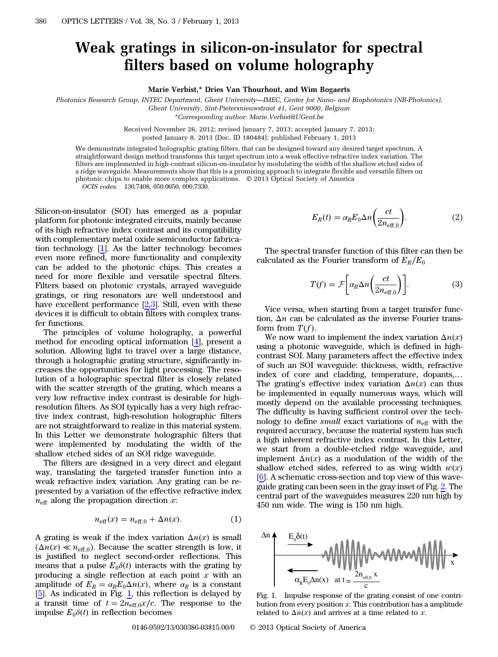## Weak gratings in silicon-on-insulator for spectral filters based on volume holography

Marie Verbist,\* Dries Van Thourhout, and Wim Bogaerts

Photonics Research Group, INTEC Department, Ghent University*—*IMEC, Center for Nano- and Biophotonics (NB-Photonics), Ghent University, Sint-Pietersnieuwstraat 41, Gent 9000, Belgium

\*Corresponding author: Marie.Verbist@UGent.be

Received November 26, 2012; revised January 7, 2013; accepted January 7, 2013; posted January 8, 2013 (Doc. ID 180484); published February 1, 2013

We demonstrate integrated holographic grating filters, that can be designed toward any desired target spectrum. A straightforward design method transforms this target spectrum into a weak effective refractive index variation. The filters are implemented in high-contrast silicon-on-insulator by modulating the width of the shallow etched sides of a ridge waveguide. Measurements show that this is a promising approach to integrate flexible and versatile filters on photonic chips to enable more complex applications. © 2013 Optical Society of America

OCIS codes: 130.7408, 050.0050, 090.7330.

Silicon-on-insulator (SOI) has emerged as a popular platform for photonic integrated circuits, mainly because of its high refractive index contrast and its compatibility with complementary metal oxide semiconductor fabrication technology [[1\]](#page-2-0). As the latter technology becomes even more refined, more functionality and complexity can be added to the photonic chips. This creates a need for more flexible and versatile spectral filters. Filters based on photonic crystals, arrayed waveguide gratings, or ring resonators are well understood and have excellent performance  $[2,3]$  $[2,3]$  $[2,3]$  $[2,3]$ . Still, even with these devices it is difficult to obtain filters with complex transfer functions.

The principles of volume holography, a powerful method for encoding optical information [[4\]](#page-2-3), present a solution. Allowing light to travel over a large distance, through a holographic grating structure, significantly increases the opportunities for light processing. The resolution of a holographic spectral filter is closely related with the scatter strength of the grating, which means a very low refractive index contrast is desirable for highresolution filters. As SOI typically has a very high refractive index contrast, high-resolution holographic filters are not straightforward to realize in this material system. In this Letter we demonstrate holographic filters that were implemented by modulating the width of the shallow etched sides of an SOI ridge waveguide.

The filters are designed in a very direct and elegant way, translating the targeted transfer function into a weak refractive index variation. Any grating can be represented by a variation of the effective refractive index  $n_{\text{eff}}$  along the propagation direction x:

$$
n_{\text{eff}}(x) = n_{\text{eff},0} + \Delta n(x). \tag{1}
$$

A grating is weak if the index variation  $\Delta n(x)$  is small  $(\Delta n(x) \ll n_{\text{eff},0})$ . Because the scatter strength is low, it is justified to neglect second-order reflections. This means that a pulse  $E_0 \delta(t)$  interacts with the grating by producing a single reflection at each point  $x$  with an amplitude of  $E_R = a_R E_0 \Delta n(x)$ , where  $a_R$  is a constant  $[5]$  $[5]$ . As indicated in Fig.  $\underline{1}$ , this reflection is delayed by a transit time of  $t = 2n_{\text{eff},0}x/c$ . The response to the impulse  $E_0 \delta(t)$  in reflection becomes

$$
E_R(t) = \alpha_R E_0 \Delta n \left(\frac{ct}{2n_{\text{eff},0}}\right).
$$
 (2)

The spectral transfer function of this filter can then be calculated as the Fourier transform of  $E_R/E_0$ 

$$
T(f) = \mathcal{F}\bigg[\alpha_R \Delta n \bigg(\frac{ct}{2n_{\text{eff},0}}\bigg)\bigg].\tag{3}
$$

Vice versa, when starting from a target transfer function,  $\Delta n$  can be calculated as the inverse Fourier transform from  $T(f)$ .

We now want to implement the index variation  $\Delta n(x)$ using a photonic waveguide, which is defined in highcontrast SOI. Many parameters affect the effective index of such an SOI waveguide: thickness, width, refractive index of core and cladding, temperature, dopants,… The grating's effective index variation  $\Delta n(x)$  can thus be implemented in equally numerous ways, which will mostly depend on the available processing techniques. The difficulty is having sufficient control over the technology to define *small* exact variations of  $n_{\text{eff}}$  with the required accuracy, because the material system has such a high inherent refractive index contrast. In this Letter, we start from a double-etched ridge waveguide, and implement  $\Delta n(x)$  as a modulation of the width of the shallow etched sides, referred to as wing width  $w(x)$ [\[6](#page-2-5)]. A schematic cross-section and top view of this waveguide grating can been seen in the gray inset of Fig. [2.](#page-1-0) The central part of the waveguides measures 220 nm high by 450 nm wide. The wing is 150 nm high.

<span id="page-0-0"></span>

Fig. 1. Impulse response of the grating consist of one contribution from every position  $x$ . This contribution has a amplitude related to  $\Delta n(x)$  and arrives at a time related to x.

0146-9592/13/030386-03\$15.00/0 © 2013 Optical Society of America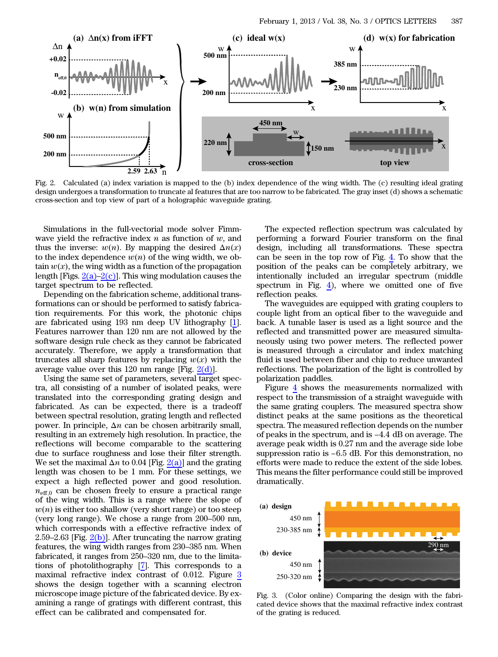<span id="page-1-0"></span>

Fig. 2. Calculated (a) index variation is mapped to the (b) index dependence of the wing width. The (c) resulting ideal grating design undergoes a transformation to truncate al features that are too narrow to be fabricated. The gray inset (d) shows a schematic cross-section and top view of part of a holographic waveguide grating.

Simulations in the full-vectorial mode solver Fimmwave yield the refractive index  $n$  as function of  $w$ , and thus the inverse:  $w(n)$ . By mapping the desired  $\Delta n(x)$ to the index dependence  $w(n)$  of the wing width, we obtain  $w(x)$ , the wing width as a function of the propagation length [Figs.  $2(a)-2(c)$  $2(a)-2(c)$  $2(a)-2(c)$ ]. This wing modulation causes the target spectrum to be reflected.

Depending on the fabrication scheme, additional transformations can or should be performed to satisfy fabrication requirements. For this work, the photonic chips are fabricated using 193 nm deep UV lithography [\[1](#page-2-0)]. Features narrower than 120 nm are not allowed by the software design rule check as they cannot be fabricated accurately. Therefore, we apply a transformation that truncates all sharp features by replacing  $w(x)$  with the average value over this 120 nm range [Fig.  $2(d)$ ].

Using the same set of parameters, several target spectra, all consisting of a number of isolated peaks, were translated into the corresponding grating design and fabricated. As can be expected, there is a tradeoff between spectral resolution, grating length and reflected power. In principle, Δn can be chosen arbitrarily small, resulting in an extremely high resolution. In practice, the reflections will become comparable to the scattering due to surface roughness and lose their filter strength. We set the maximal  $\Delta n$  to 0.04 [Fig. [2\(a\)\]](#page-1-0) and the grating length was chosen to be 1 mm. For these settings, we expect a high reflected power and good resolution.  $n_{\text{eff},0}$  can be chosen freely to ensure a practical range of the wing width. This is a range where the slope of  $w(n)$  is either too shallow (very short range) or too steep (very long range). We chose a range from 200–500 nm, which corresponds with a effective refractive index of 2.59–2.63 [Fig. [2\(b\)\]](#page-1-0). After truncating the narrow grating features, the wing width ranges from 230–385 nm. When fabricated, it ranges from 250–320 nm, due to the limitations of photolithography [[7\]](#page-2-6). This corresponds to a maximal refractive index contrast of 0.012. Figure [3](#page-1-1) shows the design together with a scanning electron microscope image picture of the fabricated device. By examining a range of gratings with different contrast, this effect can be calibrated and compensated for.

The expected reflection spectrum was calculated by performing a forward Fourier transform on the final design, including all transformations. These spectra can be seen in the top row of Fig. [4](#page-2-7). To show that the position of the peaks can be completely arbitrary, we intentionally included an irregular spectrum (middle spectrum in Fig. [4\)](#page-2-7), where we omitted one of five reflection peaks.

The waveguides are equipped with grating couplers to couple light from an optical fiber to the waveguide and back. A tunable laser is used as a light source and the reflected and transmitted power are measured simultaneously using two power meters. The reflected power is measured through a circulator and index matching fluid is used between fiber and chip to reduce unwanted reflections. The polarization of the light is controlled by polarization paddles.

Figure [4](#page-2-7) shows the measurements normalized with respect to the transmission of a straight waveguide with the same grating couplers. The measured spectra show distinct peaks at the same positions as the theoretical spectra. The measured reflection depends on the number of peaks in the same grating couplers. The measured spectra show<br>distinct peaks at the same positions as the theoretical<br>spectra. The measured reflection depends on the number<br>of peaks in the spectrum, and is −4.4 dB on a average peak width is 0.27 nm and the average side lobe spectra. The measured reflection depends on the number<br>of peaks in the spectrum, and is  $-4.4$  dB on average. The<br>average peak width is  $0.27$  nm and the average side lobe<br>suppression ratio is  $-6.5$  dB. For this demonstr efforts were made to reduce the extent of the side lobes. This means the filter performance could still be improved dramatically.

<span id="page-1-1"></span>

Fig. 3. (Color online) Comparing the design with the fabricated device shows that the maximal refractive index contrast of the grating is reduced.